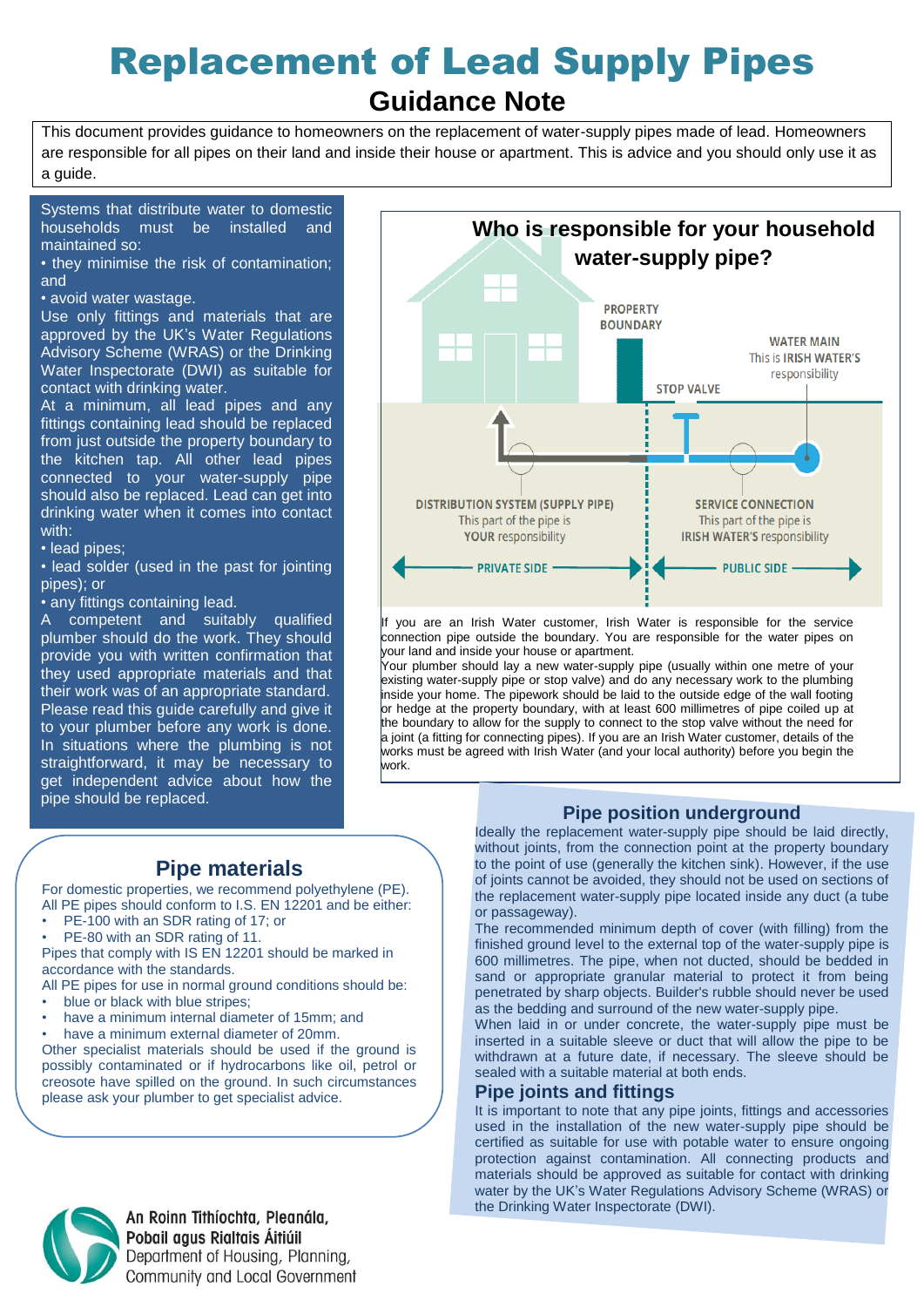# Replacement of Lead Supply Pipes

# **Guidance Note**

This document provides guidance to homeowners on the replacement of water-supply pipes made of lead. Homeowners are responsible for all pipes on their land and inside their house or apartment. This is advice and you should only use it as a guide.

Systems that distribute water to domestic households must be installed and maintained so:

• they minimise the risk of contamination; and

#### • avoid water wastage.

Use only fittings and materials that are approved by the UK's Water Regulations Advisory Scheme (WRAS) or the Drinking Water Inspectorate (DWI) as suitable for contact with drinking water.

At a minimum, all lead pipes and any fittings containing lead should be replaced from just outside the property boundary to the kitchen tap. All other lead pipes connected to your water-supply pipe should also be replaced. Lead can get into drinking water when it comes into contact with:

• lead pipes;

• lead solder (used in the past for jointing pipes); or

• any fittings containing lead.

A competent and suitably qualified plumber should do the work. They should provide you with written confirmation that they used appropriate materials and that their work was of an appropriate standard. Please read this guide carefully and give it to your plumber before any work is done. In situations where the plumbing is not straightforward, it may be necessary to get independent advice about how the pipe should be replaced.



If you are an Irish Water customer, Irish Water is responsible for the service connection pipe outside the boundary. You are responsible for the water pipes on your land and inside your house or apartment.

Your plumber should lay a new water-supply pipe (usually within one metre of your existing water-supply pipe or stop valve) and do any necessary work to the plumbing inside your home. The pipework should be laid to the outside edge of the wall footing or hedge at the property boundary, with at least 600 millimetres of pipe coiled up at the boundary to allow for the supply to connect to the stop valve without the need for a joint (a fitting for connecting pipes). If you are an Irish Water customer, details of the works must be agreed with Irish Water (and your local authority) before you begin the work.

#### **Pipe position underground** Ideally the replacement water-supply pipe should be laid directly,

**Pipe materials**

For domestic properties, we recommend polyethylene (PE). All PE pipes should conform to I.S. EN 12201 and be either:

- PE-100 with an SDR rating of 17; or
- PE-80 with an SDR rating of 11.

Pipes that comply with IS EN 12201 should be marked in accordance with the standards.

All PE pipes for use in normal ground conditions should be:

- blue or black with blue stripes;
- have a minimum internal diameter of 15mm; and
- have a minimum external diameter of 20mm.

Other specialist materials should be used if the ground is possibly contaminated or if hydrocarbons like oil, petrol or creosote have spilled on the ground. In such circumstances please ask your plumber to get specialist advice.



to the point of use (generally the kitchen sink). However, if the use of joints cannot be avoided, they should not be used on sections of the replacement water-supply pipe located inside any duct (a tube or passageway).

The recommended minimum depth of cover (with filling) from the finished ground level to the external top of the water-supply pipe is 600 millimetres. The pipe, when not ducted, should be bedded in sand or appropriate granular material to protect it from being penetrated by sharp objects. Builder's rubble should never be used as the bedding and surround of the new water-supply pipe.

When laid in or under concrete, the water-supply pipe must be inserted in a suitable sleeve or duct that will allow the pipe to be withdrawn at a future date, if necessary. The sleeve should be sealed with a suitable material at both ends.

#### **Pipe joints and fittings**

It is important to note that any pipe joints, fittings and accessories used in the installation of the new water-supply pipe should be certified as suitable for use with potable water to ensure ongoing protection against contamination. All connecting products and materials should be approved as suitable for contact with drinking water by the UK's Water Regulations Advisory Scheme (WRAS) or the Drinking Water Inspectorate (DWI).



An Roinn Tithíochta, Pleanála, Pobail agus Rialtais Áitiúil Department of Housing, Planning, Community and Local Government